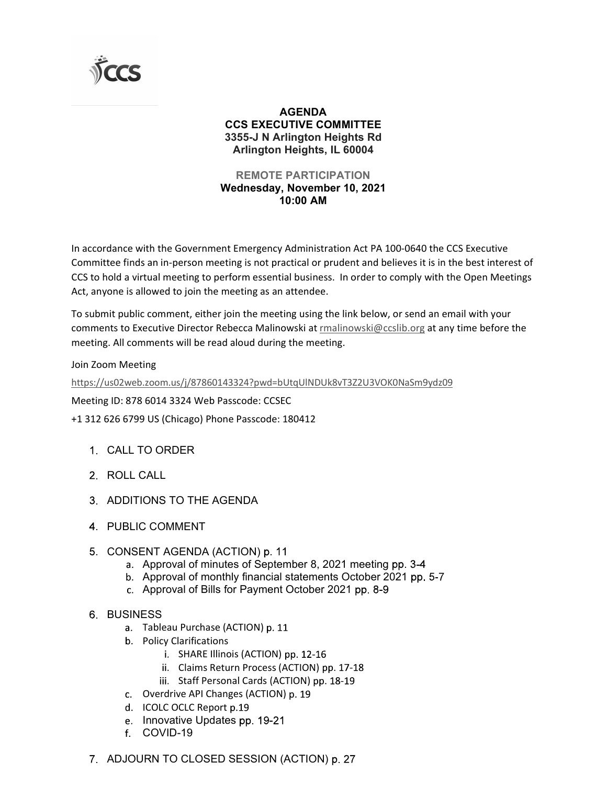

## AGENDA CCS EXECUTIVE COMMITTEE 3355-J N Arlington Heights Rd Arlington Heights, IL 60004

## REMOTE PARTICIPATION Wednesday, November 10, 2021 10:00 AM

In accordance with the Government Emergency Administration Act PA 100-0640 the CCS Executive Committee finds an in-person meeting is not practical or prudent and believes it is in the best interest of CCS to hold a virtual meeting to perform essential business. In order to comply with the Open Meetings Act, anyone is allowed to join the meeting as an attendee.

To submit public comment, either join the meeting using the link below, or send an email with your comments to Executive Director Rebecca Malinowski at rmalinowski@ccslib.org at any time before the meeting. All comments will be read aloud during the meeting.

Join Zoom Meeting

https://us02web.zoom.us/j/87860143324?pwd=bUtqUlNDUk8vT3Z2U3VOK0NaSm9ydz09

Meeting ID: 878 6014 3324 Web Passcode: CCSEC

+1 312 626 6799 US (Chicago) Phone Passcode: 180412

- CALL TO ORDER
- 2. ROLL CALL
- ADDITIONS TO THE AGENDA
- 4. PUBLIC COMMENT
- 5. CONSENT AGENDA (ACTION) p. 11
	- a. Approval of minutes of September 8, 2021 meeting pp. 3-4
	- b. Approval of monthly financial statements October 2021 pp. 5-7
	- c. Approval of Bills for Payment October 2021 pp. 8-9
- **6 BUSINESS** 
	- a. Tableau Purchase (ACTION) p. 11
	- b. Policy Clarifications
		- i. SHARE Illinois (ACTION) pp. 12-16
		- ii. Claims Return Process (ACTION) pp. 17-18
		- iii. Staff Personal Cards (ACTION) pp. 18-19
	- c. Overdrive API Changes (ACTION) p. 19
	- d. ICOLC OCLC Report p.19
	- e. Innovative Updates pp. 19-21
	- f. COVID-19
- 7 ADJOURN TO CLOSED SESSION (ACTION) p. 27